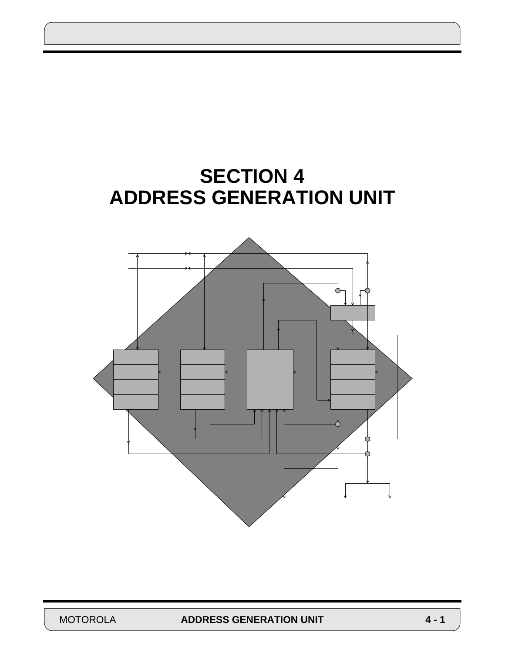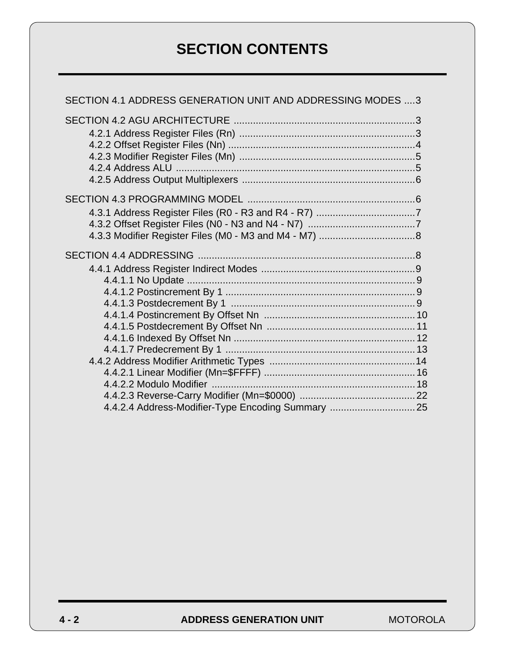# **SECTION CONTENTS**

| SECTION 4.1 ADDRESS GENERATION UNIT AND ADDRESSING MODES 3 |  |
|------------------------------------------------------------|--|
|                                                            |  |
|                                                            |  |
|                                                            |  |
|                                                            |  |
|                                                            |  |
|                                                            |  |
|                                                            |  |
|                                                            |  |
|                                                            |  |
|                                                            |  |
|                                                            |  |
|                                                            |  |
|                                                            |  |
|                                                            |  |
|                                                            |  |
|                                                            |  |
|                                                            |  |
|                                                            |  |
|                                                            |  |
|                                                            |  |
|                                                            |  |
|                                                            |  |
|                                                            |  |
| 4.4.2.4 Address-Modifier-Type Encoding Summary  25         |  |

**4 - 2 ADDRESS GENERATION UNIT** MOTOROLA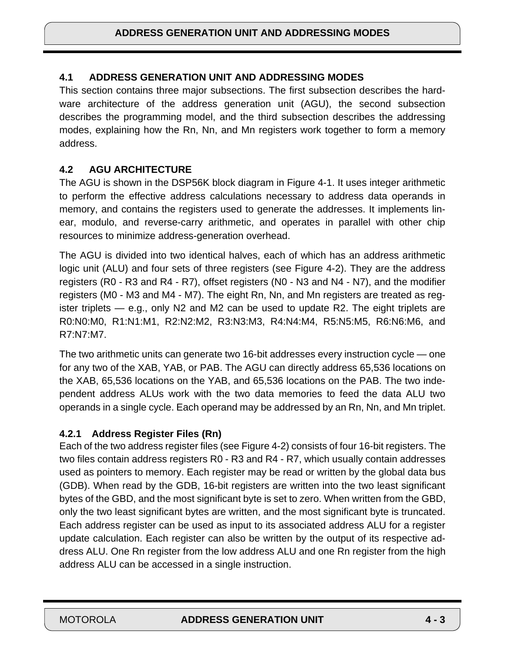### **4.1 ADDRESS GENERATION UNIT AND ADDRESSING MODES**

This section contains three major subsections. The first subsection describes the hardware architecture of the address generation unit (AGU), the second subsection describes the programming model, and the third subsection describes the addressing modes, explaining how the Rn, Nn, and Mn registers work together to form a memory address.

#### **4.2 AGU ARCHITECTURE**

The AGU is shown in the DSP56K block diagram in [Figure 4-1.](#page-3-0) It uses integer arithmetic to perform the effective address calculations necessary to address data operands in memory, and contains the registers used to generate the addresses. It implements linear, modulo, and reverse-carry arithmetic, and operates in parallel with other chip resources to minimize address-generation overhead.

The AGU is divided into two identical halves, each of which has an address arithmetic logic unit (ALU) and four sets of three registers (see [Figure 4-2](#page-4-0)). They are the address registers (R0 - R3 and R4 - R7), offset registers (N0 - N3 and N4 - N7), and the modifier registers (M0 - M3 and M4 - M7). The eight Rn, Nn, and Mn registers are treated as register triplets — e.g., only N2 and M2 can be used to update R2. The eight triplets are R0:N0:M0, R1:N1:M1, R2:N2:M2, R3:N3:M3, R4:N4:M4, R5:N5:M5, R6:N6:M6, and R7:N7:M7.

The two arithmetic units can generate two 16-bit addresses every instruction cycle — one for any two of the XAB, YAB, or PAB. The AGU can directly address 65,536 locations on the XAB, 65,536 locations on the YAB, and 65,536 locations on the PAB. The two independent address ALUs work with the two data memories to feed the data ALU two operands in a single cycle. Each operand may be addressed by an Rn, Nn, and Mn triplet.

### **4.2.1 Address Register Files (Rn)**

Each of the two address register files (see [Figure 4-2\)](#page-4-0) consists of four 16-bit registers. The two files contain address registers R0 - R3 and R4 - R7, which usually contain addresses used as pointers to memory. Each register may be read or written by the global data bus (GDB). When read by the GDB, 16-bit registers are written into the two least significant bytes of the GBD, and the most significant byte is set to zero. When written from the GBD, only the two least significant bytes are written, and the most significant byte is truncated. Each address register can be used as input to its associated address ALU for a register update calculation. Each register can also be written by the output of its respective address ALU. One Rn register from the low address ALU and one Rn register from the high address ALU can be accessed in a single instruction.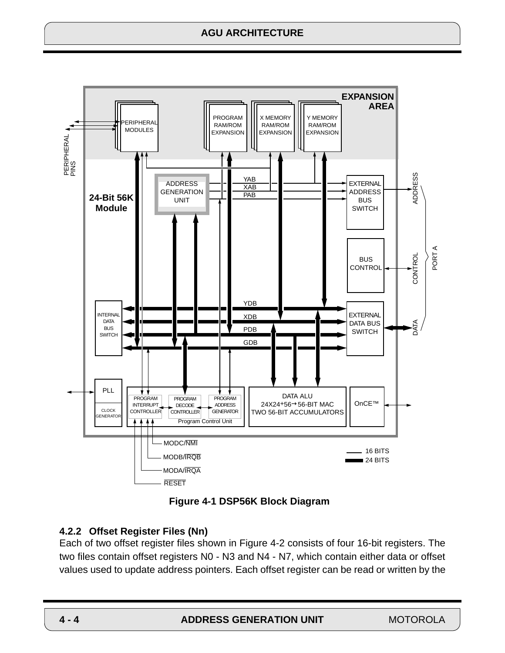# **AGU ARCHITECTURE**

<span id="page-3-0"></span>

**Figure 4-1 DSP56K Block Diagram**

### **4.2.2 Offset Register Files (Nn)**

Each of two offset register files shown in [Figure 4-2](#page-4-0) consists of four 16-bit registers. The two files contain offset registers N0 - N3 and N4 - N7, which contain either data or offset values used to update address pointers. Each offset register can be read or written by the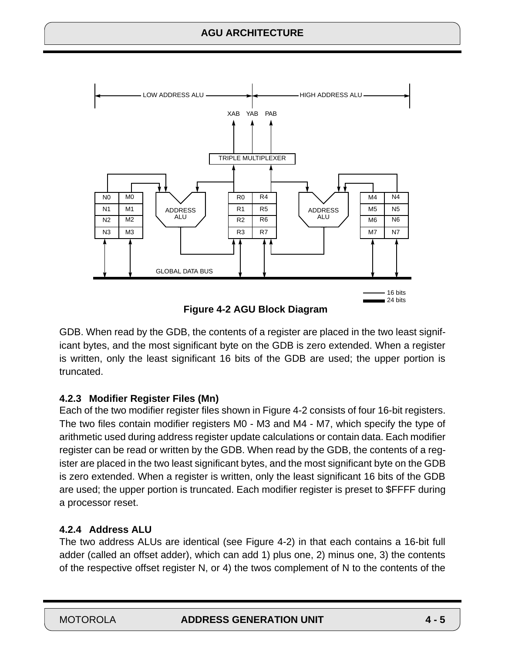<span id="page-4-0"></span>



GDB. When read by the GDB, the contents of a register are placed in the two least significant bytes, and the most significant byte on the GDB is zero extended. When a register is written, only the least significant 16 bits of the GDB are used; the upper portion is truncated.

# **4.2.3 Modifier Register Files (Mn)**

Each of the two modifier register files shown in Figure 4-2 consists of four 16-bit registers. The two files contain modifier registers M0 - M3 and M4 - M7, which specify the type of arithmetic used during address register update calculations or contain data. Each modifier register can be read or written by the GDB. When read by the GDB, the contents of a register are placed in the two least significant bytes, and the most significant byte on the GDB is zero extended. When a register is written, only the least significant 16 bits of the GDB are used; the upper portion is truncated. Each modifier register is preset to \$FFFF during a processor reset.

# **4.2.4 Address ALU**

The two address ALUs are identical (see Figure 4-2) in that each contains a 16-bit full adder (called an offset adder), which can add 1) plus one, 2) minus one, 3) the contents of the respective offset register N, or 4) the twos complement of N to the contents of the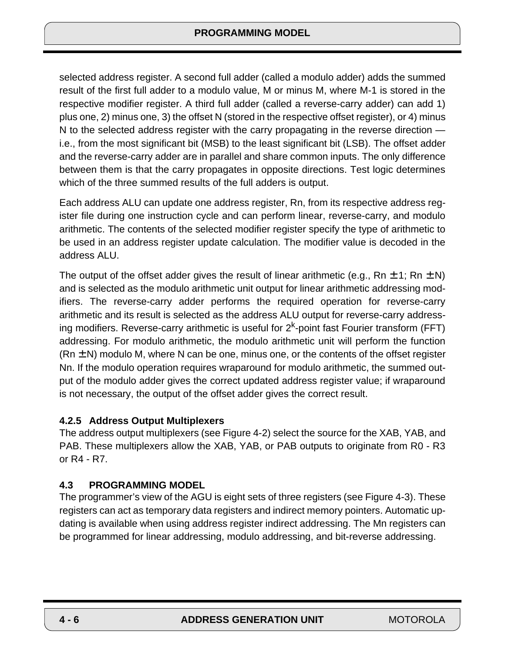selected address register. A second full adder (called a modulo adder) adds the summed result of the first full adder to a modulo value, M or minus M, where M-1 is stored in the respective modifier register. A third full adder (called a reverse-carry adder) can add 1) plus one, 2) minus one, 3) the offset N (stored in the respective offset register), or 4) minus N to the selected address register with the carry propagating in the reverse direction i.e., from the most significant bit (MSB) to the least significant bit (LSB). The offset adder and the reverse-carry adder are in parallel and share common inputs. The only difference between them is that the carry propagates in opposite directions. Test logic determines which of the three summed results of the full adders is output.

Each address ALU can update one address register, Rn, from its respective address register file during one instruction cycle and can perform linear, reverse-carry, and modulo arithmetic. The contents of the selected modifier register specify the type of arithmetic to be used in an address register update calculation. The modifier value is decoded in the address ALU.

The output of the offset adder gives the result of linear arithmetic (e.g., Rn  $\pm$  1; Rn  $\pm$  N) and is selected as the modulo arithmetic unit output for linear arithmetic addressing modifiers. The reverse-carry adder performs the required operation for reverse-carry arithmetic and its result is selected as the address ALU output for reverse-carry addressing modifiers. Reverse-carry arithmetic is useful for  $2<sup>k</sup>$ -point fast Fourier transform (FFT) addressing. For modulo arithmetic, the modulo arithmetic unit will perform the function  $(Rn \pm N)$  modulo M, where N can be one, minus one, or the contents of the offset register Nn. If the modulo operation requires wraparound for modulo arithmetic, the summed output of the modulo adder gives the correct updated address register value; if wraparound is not necessary, the output of the offset adder gives the correct result.

# **4.2.5 Address Output Multiplexers**

The address output multiplexers (see [Figure 4-2](#page-4-0)) select the source for the XAB, YAB, and PAB. These multiplexers allow the XAB, YAB, or PAB outputs to originate from R0 - R3 or R4 - R7.

# **4.3 PROGRAMMING MODEL**

The programmer's view of the AGU is eight sets of three registers (see [Figure 4-3](#page-6-0)). These registers can act as temporary data registers and indirect memory pointers. Automatic updating is available when using address register indirect addressing. The Mn registers can be programmed for linear addressing, modulo addressing, and bit-reverse addressing.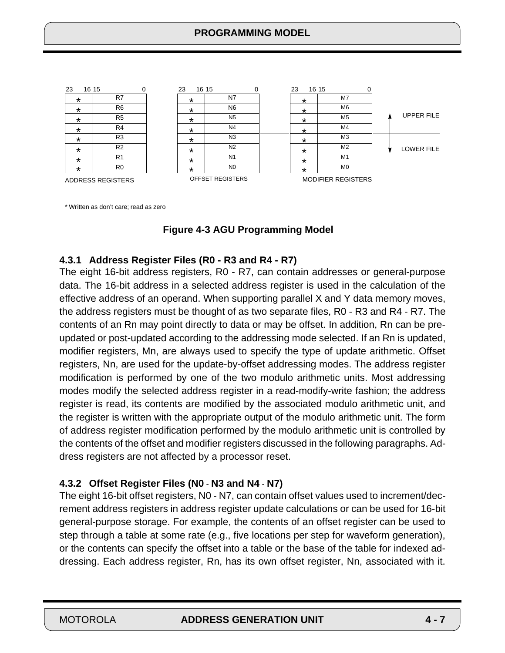<span id="page-6-0"></span>

\* Written as don't care; read as zero

#### **Figure 4-3 AGU Programming Model**

#### **4.3.1 Address Register Files (R0 - R3 and R4 - R7)**

The eight 16-bit address registers, R0 - R7, can contain addresses or general-purpose data. The 16-bit address in a selected address register is used in the calculation of the effective address of an operand. When supporting parallel X and Y data memory moves, the address registers must be thought of as two separate files, R0 - R3 and R4 - R7. The contents of an Rn may point directly to data or may be offset. In addition, Rn can be preupdated or post-updated according to the addressing mode selected. If an Rn is updated, modifier registers, Mn, are always used to specify the type of update arithmetic. Offset registers, Nn, are used for the update-by-offset addressing modes. The address register modification is performed by one of the two modulo arithmetic units. Most addressing modes modify the selected address register in a read-modify-write fashion; the address register is read, its contents are modified by the associated modulo arithmetic unit, and the register is written with the appropriate output of the modulo arithmetic unit. The form of address register modification performed by the modulo arithmetic unit is controlled by the contents of the offset and modifier registers discussed in the following paragraphs. Address registers are not affected by a processor reset.

### **4.3.2 Offset Register Files (N0** - **N3 and N4** - **N7)**

The eight 16-bit offset registers, N0 - N7, can contain offset values used to increment/decrement address registers in address register update calculations or can be used for 16-bit general-purpose storage. For example, the contents of an offset register can be used to step through a table at some rate (e.g., five locations per step for waveform generation), or the contents can specify the offset into a table or the base of the table for indexed addressing. Each address register, Rn, has its own offset register, Nn, associated with it.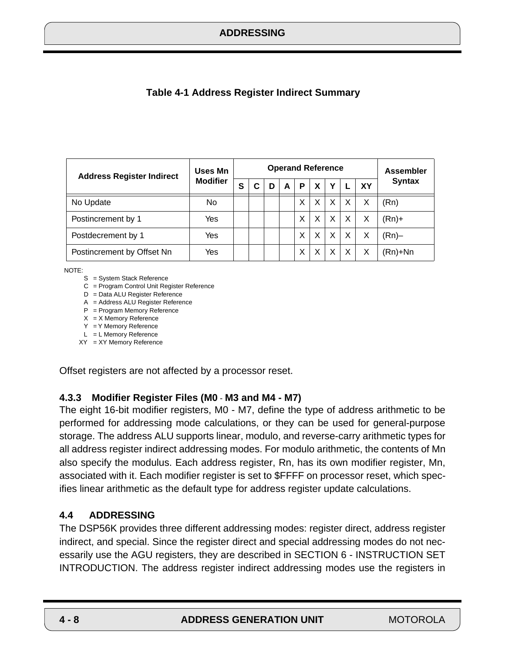<span id="page-7-0"></span>

| <b>Table 4-1 Address Register Indirect Summary</b> |  |
|----------------------------------------------------|--|
|----------------------------------------------------|--|

| <b>Address Register Indirect</b> | <b>Uses Mn</b>  | <b>Operand Reference</b> |   |   |   |   |   |                           | <b>Assembler</b> |    |               |
|----------------------------------|-----------------|--------------------------|---|---|---|---|---|---------------------------|------------------|----|---------------|
|                                  | <b>Modifier</b> | S                        | С | D | A | P | X | Υ                         |                  | XY | <b>Syntax</b> |
| No Update                        | No.             |                          |   |   |   | X | X | X                         | X                | Х  | (Rn)          |
| Postincrement by 1               | Yes             |                          |   |   |   | X | X | $\boldsymbol{\mathsf{X}}$ | X                | X  | $(Rn)+$       |
| Postdecrement by 1               | Yes             |                          |   |   |   | X | X | $\times$                  | $\times$         | X  | (Rn)–         |
| Postincrement by Offset Nn       | Yes             |                          |   |   |   | X |   |                           | Χ                |    | (Rn)+Nn       |

NOTE:

- S = System Stack Reference
- C = Program Control Unit Register Reference
- D = Data ALU Register Reference
- A = Address ALU Register Reference
- P = Program Memory Reference
- $X = X$  Memory Reference
- Y = Y Memory Reference L = L Memory Reference
- XY = XY Memory Reference

Offset registers are not affected by a processor reset.

### **4.3.3 Modifier Register Files (M0** - **M3 and M4 - M7)**

The eight 16-bit modifier registers, M0 - M7, define the type of address arithmetic to be performed for addressing mode calculations, or they can be used for general-purpose storage. The address ALU supports linear, modulo, and reverse-carry arithmetic types for all address register indirect addressing modes. For modulo arithmetic, the contents of Mn also specify the modulus. Each address register, Rn, has its own modifier register, Mn, associated with it. Each modifier register is set to \$FFFF on processor reset, which specifies linear arithmetic as the default type for address register update calculations.

### **4.4 ADDRESSING**

The DSP56K provides three different addressing modes: register direct, address register indirect, and special. Since the register direct and special addressing modes do not necessarily use the AGU registers, they are described in SECTION 6 - INSTRUCTION SET INTRODUCTION. The address register indirect addressing modes use the registers in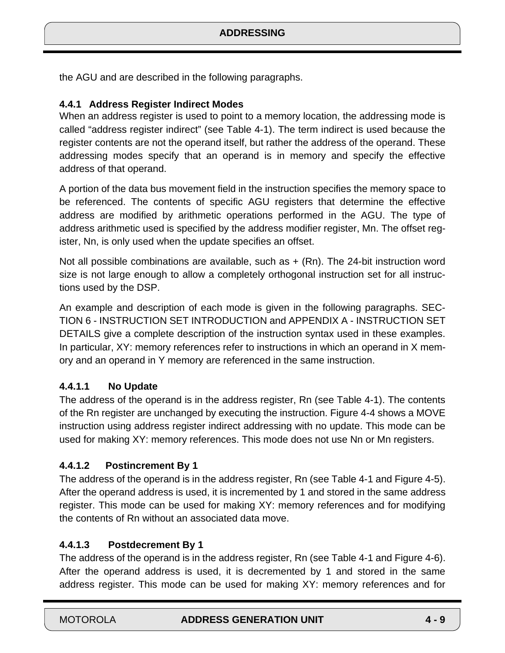the AGU and are described in the following paragraphs.

### **4.4.1 Address Register Indirect Modes**

When an address register is used to point to a memory location, the addressing mode is called "address register indirect" (see [Table 4-1](#page-7-0)). The term indirect is used because the register contents are not the operand itself, but rather the address of the operand. These addressing modes specify that an operand is in memory and specify the effective address of that operand.

A portion of the data bus movement field in the instruction specifies the memory space to be referenced. The contents of specific AGU registers that determine the effective address are modified by arithmetic operations performed in the AGU. The type of address arithmetic used is specified by the address modifier register, Mn. The offset register, Nn, is only used when the update specifies an offset.

Not all possible combinations are available, such as  $+$  (Rn). The 24-bit instruction word size is not large enough to allow a completely orthogonal instruction set for all instructions used by the DSP.

An example and description of each mode is given in the following paragraphs. SEC-TION 6 - INSTRUCTION SET INTRODUCTION and APPENDIX A - INSTRUCTION SET DETAILS give a complete description of the instruction syntax used in these examples. In particular, XY: memory references refer to instructions in which an operand in X memory and an operand in Y memory are referenced in the same instruction.

### **4.4.1.1 No Update**

The address of the operand is in the address register, Rn (see [Table 4-1](#page-7-0)). The contents of the Rn register are unchanged by executing the instruction. [Figure 4-4](#page-9-0) shows a MOVE instruction using address register indirect addressing with no update. This mode can be used for making XY: memory references. This mode does not use Nn or Mn registers.

### **4.4.1.2 Postincrement By 1**

The address of the operand is in the address register, Rn (see [Table 4-1](#page-7-0) and [Figure 4-5](#page-10-0)). After the operand address is used, it is incremented by 1 and stored in the same address register. This mode can be used for making XY: memory references and for modifying the contents of Rn without an associated data move.

#### **4.4.1.3 Postdecrement By 1**

The address of the operand is in the address register, Rn (see [Table 4-1](#page-7-0) and [Figure 4-6](#page-11-0)). After the operand address is used, it is decremented by 1 and stored in the same address register. This mode can be used for making XY: memory references and for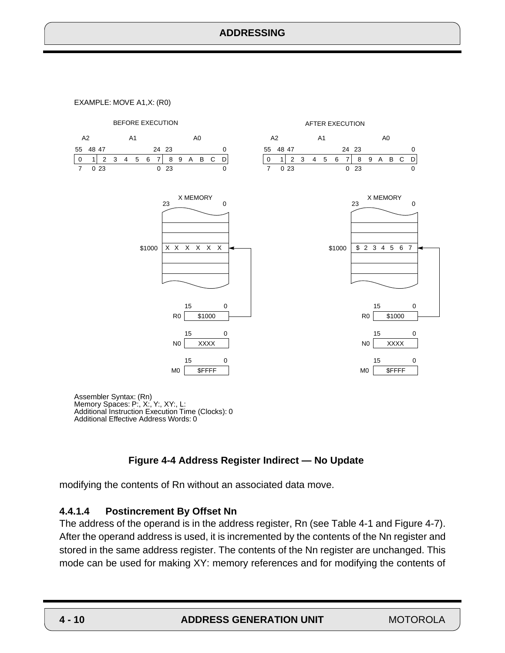<span id="page-9-0"></span>EXAMPLE: MOVE A1,X: (R0)



Assembler Syntax: (Rn) Memory Spaces: P:, X:, Y:, XY:, L: Additional Instruction Execution Time (Clocks): 0 Additional Effective Address Words: 0

#### **Figure 4-4 Address Register Indirect — No Update**

modifying the contents of Rn without an associated data move.

#### **4.4.1.4 Postincrement By Offset Nn**

The address of the operand is in the address register, Rn (see [Table 4-1](#page-7-0) and [Figure 4-7](#page-12-0)). After the operand address is used, it is incremented by the contents of the Nn register and stored in the same address register. The contents of the Nn register are unchanged. This mode can be used for making XY: memory references and for modifying the contents of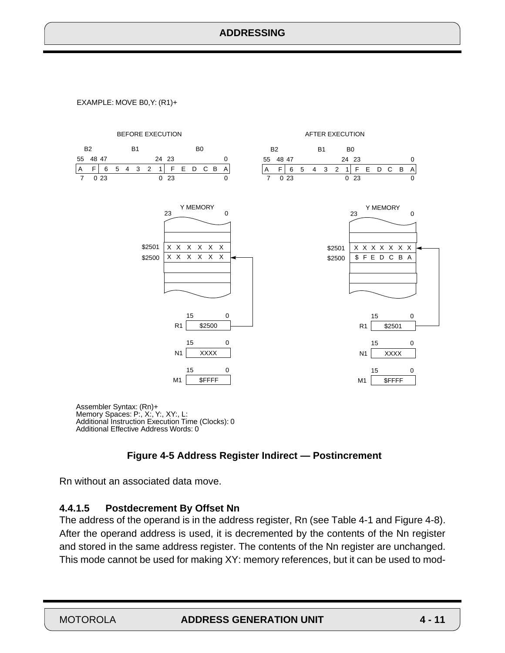<span id="page-10-0"></span>EXAMPLE: MOVE B0,Y: (R1)+



Memory Spaces: P:, X:, Y:, XY:, L: Additional Instruction Execution Time (Clocks): 0 Additional Effective Address Words: 0

#### **Figure 4-5 Address Register Indirect — Postincrement**

Rn without an associated data move.

#### **4.4.1.5 Postdecrement By Offset Nn**

The address of the operand is in the address register, Rn (see [Table 4-1](#page-7-0) and [Figure 4-8](#page-13-0)). After the operand address is used, it is decremented by the contents of the Nn register and stored in the same address register. The contents of the Nn register are unchanged. This mode cannot be used for making XY: memory references, but it can be used to mod-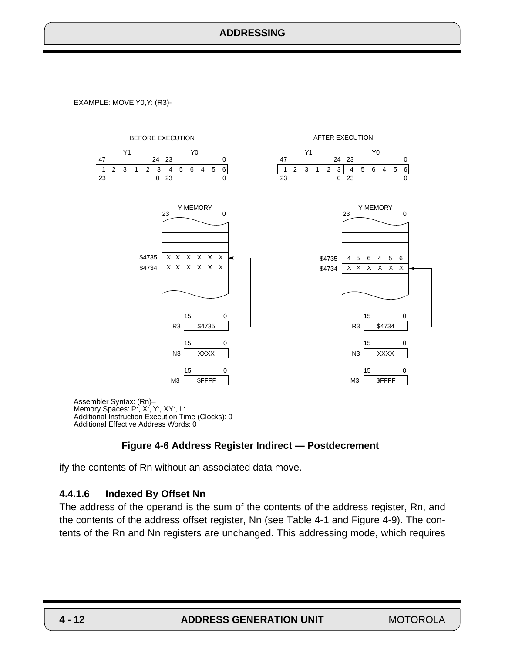<span id="page-11-0"></span>EXAMPLE: MOVE Y0,Y: (R3)-



### **Figure 4-6 Address Register Indirect — Postdecrement**

ify the contents of Rn without an associated data move.

#### **4.4.1.6 Indexed By Offset Nn**

The address of the operand is the sum of the contents of the address register, Rn, and the contents of the address offset register, Nn (see [Table 4-1](#page-7-0) and [Figure 4-9](#page-14-0)). The contents of the Rn and Nn registers are unchanged. This addressing mode, which requires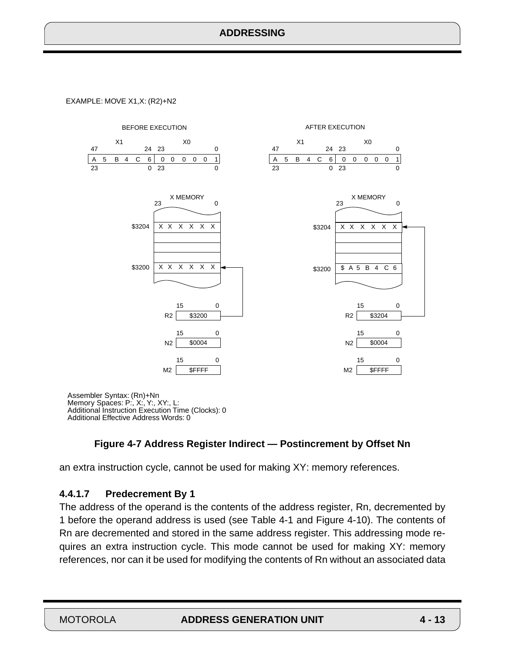<span id="page-12-0"></span>EXAMPLE: MOVE X1,X: (R2)+N2



Assembler Syntax: (Rn)+Nn Memory Spaces: P:, X:, Y:, XY:, L: Additional Instruction Execution Time (Clocks): 0 Additional Effective Address Words: 0

### **Figure 4-7 Address Register Indirect — Postincrement by Offset Nn**

an extra instruction cycle, cannot be used for making XY: memory references.

### **4.4.1.7 Predecrement By 1**

The address of the operand is the contents of the address register, Rn, decremented by 1 before the operand address is used (see [Table 4-1](#page-7-0) and [Figure 4-10](#page-15-0)). The contents of Rn are decremented and stored in the same address register. This addressing mode requires an extra instruction cycle. This mode cannot be used for making XY: memory references, nor can it be used for modifying the contents of Rn without an associated data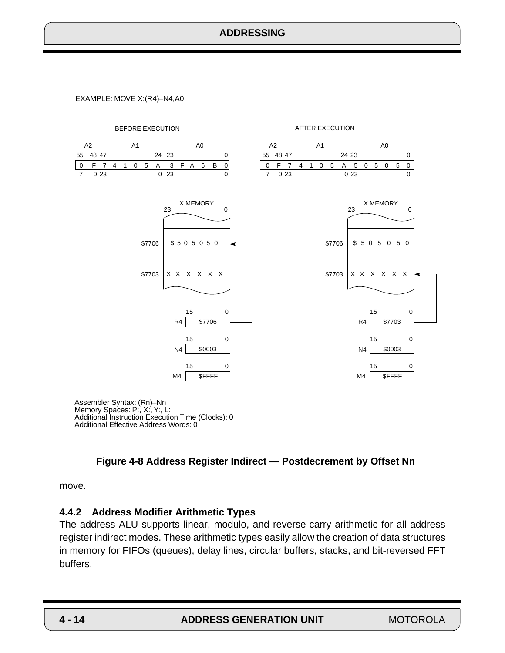<span id="page-13-0"></span>EXAMPLE: MOVE X:(R4)–N4,A0



Memory Spaces: P:, X:, Y:, L: Additional Instruction Execution Time (Clocks): 0 Additional Effective Address Words: 0

#### **Figure 4-8 Address Register Indirect — Postdecrement by Offset Nn**

move.

#### **4.4.2 Address Modifier Arithmetic Types**

The address ALU supports linear, modulo, and reverse-carry arithmetic for all address register indirect modes. These arithmetic types easily allow the creation of data structures in memory for FIFOs (queues), delay lines, circular buffers, stacks, and bit-reversed FFT buffers.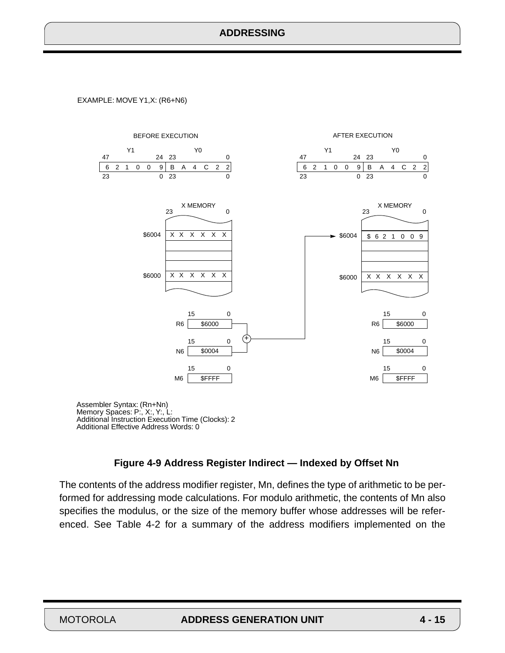<span id="page-14-0"></span>EXAMPLE: MOVE Y1,X: (R6+N6)



Assembler Syntax: (Rn+Nn) Memory Spaces: P:, X:, Y:, L: Additional Instruction Execution Time (Clocks): 2 Additional Effective Address Words: 0

#### **Figure 4-9 Address Register Indirect — Indexed by Offset Nn**

The contents of the address modifier register, Mn, defines the type of arithmetic to be performed for addressing mode calculations. For modulo arithmetic, the contents of Mn also specifies the modulus, or the size of the memory buffer whose addresses will be referenced. See [Table 4-2](#page-17-0) for a summary of the address modifiers implemented on the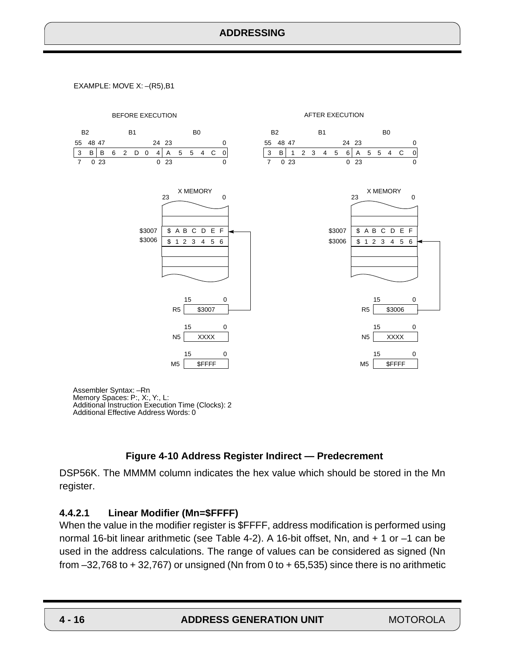<span id="page-15-0"></span>EXAMPLE: MOVE X: –(R5),B1



Memory Spaces: P:, X:, Y:, L: Additional Instruction Execution Time (Clocks): 2 Additional Effective Address Words: 0

### **Figure 4-10 Address Register Indirect — Predecrement**

DSP56K. The MMMM column indicates the hex value which should be stored in the Mn register.

#### **4.4.2.1 Linear Modifier (Mn=\$FFFF)**

When the value in the modifier register is \$FFFF, address modification is performed using normal 16-bit linear arithmetic (see [Table 4-2\)](#page-17-0). A 16-bit offset, Nn, and + 1 or –1 can be used in the address calculations. The range of values can be considered as signed (Nn from  $-32,768$  to  $+32,767$ ) or unsigned (Nn from 0 to  $+65,535$ ) since there is no arithmetic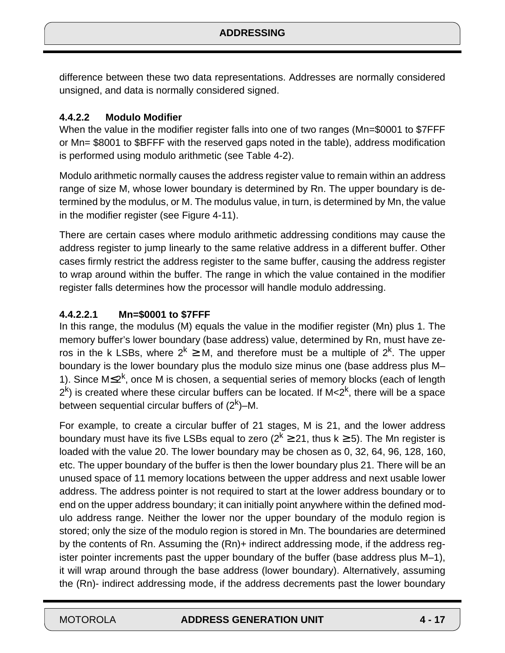difference between these two data representations. Addresses are normally considered unsigned, and data is normally considered signed.

### **4.4.2.2 Modulo Modifier**

When the value in the modifier register falls into one of two ranges (Mn=\$0001 to \$7FFF or Mn= \$8001 to \$BFFF with the reserved gaps noted in the table), address modification is performed using modulo arithmetic (see [Table 4-2](#page-17-0)).

Modulo arithmetic normally causes the address register value to remain within an address range of size M, whose lower boundary is determined by Rn. The upper boundary is determined by the modulus, or M. The modulus value, in turn, is determined by Mn, the value in the modifier register (see [Figure 4-11](#page-18-0)).

There are certain cases where modulo arithmetic addressing conditions may cause the address register to jump linearly to the same relative address in a different buffer. Other cases firmly restrict the address register to the same buffer, causing the address register to wrap around within the buffer. The range in which the value contained in the modifier register falls determines how the processor will handle modulo addressing.

### **4.4.2.2.1 Mn=\$0001 to \$7FFF**

In this range, the modulus (M) equals the value in the modifier register (Mn) plus 1. The memory buffer's lower boundary (base address) value, determined by Rn, must have zeros in the k LSBs, where  $2^k \geq M$ , and therefore must be a multiple of  $2^k$ . The upper boundary is the lower boundary plus the modulo size minus one (base address plus M– 1). Since  $M\leq 2^{k}$ , once M is chosen, a sequential series of memory blocks (each of length  $2<sup>k</sup>$ ) is created where these circular buffers can be located. If M $<$ 2 $<sup>k</sup>$ , there will be a space</sup> between sequential circular buffers of  $(2<sup>k</sup>)$ –M.

For example, to create a circular buffer of 21 stages, M is 21, and the lower address boundary must have its five LSBs equal to zero ( $2^k \geq 21$ , thus  $k \geq 5$ ). The Mn register is loaded with the value 20. The lower boundary may be chosen as 0, 32, 64, 96, 128, 160, etc. The upper boundary of the buffer is then the lower boundary plus 21. There will be an unused space of 11 memory locations between the upper address and next usable lower address. The address pointer is not required to start at the lower address boundary or to end on the upper address boundary; it can initially point anywhere within the defined modulo address range. Neither the lower nor the upper boundary of the modulo region is stored; only the size of the modulo region is stored in Mn. The boundaries are determined by the contents of Rn. Assuming the (Rn)+ indirect addressing mode, if the address register pointer increments past the upper boundary of the buffer (base address plus M–1), it will wrap around through the base address (lower boundary). Alternatively, assuming the (Rn)- indirect addressing mode, if the address decrements past the lower boundary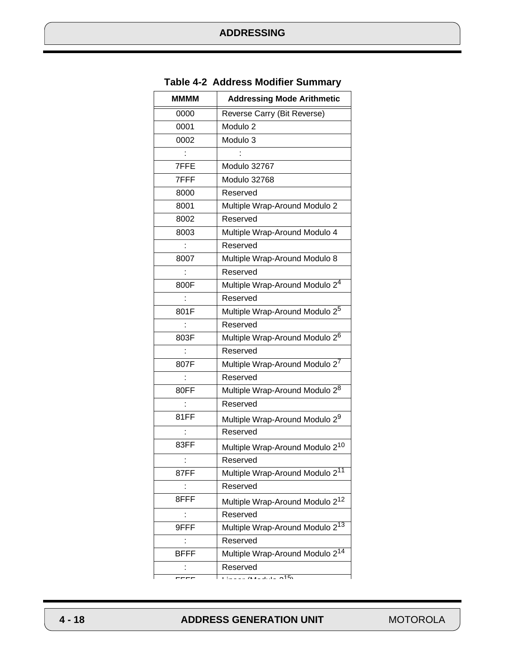<span id="page-17-0"></span>

| MMMM        | <b>Addressing Mode Arithmetic</b>           |
|-------------|---------------------------------------------|
| 0000        | Reverse Carry (Bit Reverse)                 |
| 0001        | Modulo <sub>2</sub>                         |
| 0002        | Modulo 3                                    |
|             |                                             |
| 7FFE        | Modulo 32767                                |
| 7FFF        | Modulo 32768                                |
| 8000        | Reserved                                    |
| 8001        | Multiple Wrap-Around Modulo 2               |
| 8002        | Reserved                                    |
| 8003        | Multiple Wrap-Around Modulo 4               |
|             | Reserved                                    |
| 8007        | Multiple Wrap-Around Modulo 8               |
|             | Reserved                                    |
| 800F        | Multiple Wrap-Around Modulo 24              |
|             | Reserved                                    |
| 801F        | Multiple Wrap-Around Modulo 2 <sup>5</sup>  |
|             | Reserved                                    |
| 803F        | Multiple Wrap-Around Modulo 2 <sup>6</sup>  |
|             | Reserved                                    |
| 807F        | Multiple Wrap-Around Modulo 27              |
|             | Reserved                                    |
| 80FF        | Multiple Wrap-Around Modulo 28              |
|             | Reserved                                    |
| 81FF        | Multiple Wrap-Around Modulo 29              |
|             | Reserved                                    |
| 83FF        | Multiple Wrap-Around Modulo 2 <sup>10</sup> |
|             | Reserved                                    |
| 87FF        | Multiple Wrap-Around Modulo 211             |
|             | Reserved                                    |
| 8FFF        | Multiple Wrap-Around Modulo 2 <sup>12</sup> |
|             | Reserved                                    |
| 9FFF        | Multiple Wrap-Around Modulo 2 <sup>13</sup> |
|             | Reserved                                    |
| <b>BFFF</b> | Multiple Wrap-Around Modulo 2 <sup>14</sup> |
|             | Reserved                                    |
|             | $4.44 \times 10^{14} \times 2^{15}$         |

#### **Table 4-2 Address Modifier Summary**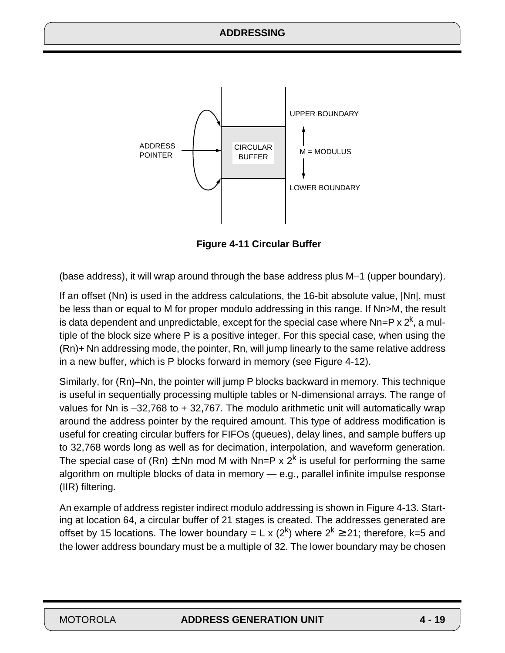<span id="page-18-0"></span>

**Figure 4-11 Circular Buffer**

(base address), it will wrap around through the base address plus M–1 (upper boundary).

If an offset (Nn) is used in the address calculations, the 16-bit absolute value, |Nn|, must be less than or equal to M for proper modulo addressing in this range. If Nn>M, the result is data dependent and unpredictable, except for the special case where  $Nn=P \times 2^{k}$ , a multiple of the block size where P is a positive integer. For this special case, when using the (Rn)+ Nn addressing mode, the pointer, Rn, will jump linearly to the same relative address in a new buffer, which is P blocks forward in memory (see [Figure 4-12\)](#page-19-0).

Similarly, for (Rn)–Nn, the pointer will jump P blocks backward in memory. This technique is useful in sequentially processing multiple tables or N-dimensional arrays. The range of values for Nn is –32,768 to + 32,767. The modulo arithmetic unit will automatically wrap around the address pointer by the required amount. This type of address modification is useful for creating circular buffers for FIFOs (queues), delay lines, and sample buffers up to 32,768 words long as well as for decimation, interpolation, and waveform generation. The special case of (Rn)  $\pm$  Nn mod M with Nn=P x 2<sup>k</sup> is useful for performing the same algorithm on multiple blocks of data in memory — e.g., parallel infinite impulse response (IIR) filtering.

An example of address register indirect modulo addressing is shown in [Figure 4-13.](#page-20-0) Starting at location 64, a circular buffer of 21 stages is created. The addresses generated are offset by 15 locations. The lower boundary = L x (2<sup>k</sup>) where  $2^k \ge 21$ ; therefore, k=5 and the lower address boundary must be a multiple of 32. The lower boundary may be chosen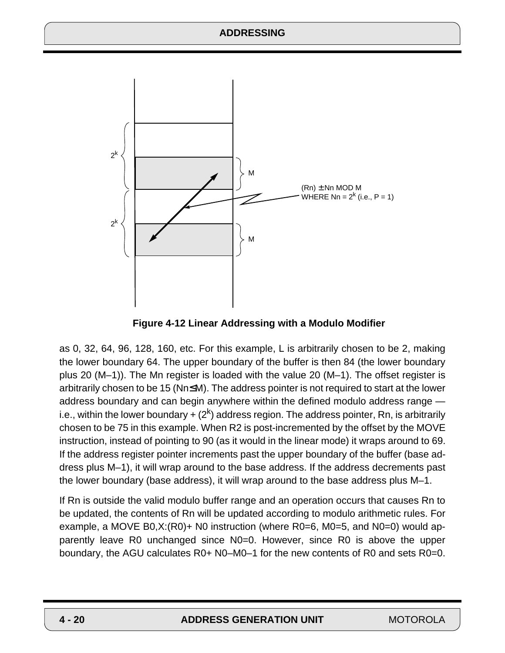<span id="page-19-0"></span>

**Figure 4-12 Linear Addressing with a Modulo Modifier**

as 0, 32, 64, 96, 128, 160, etc. For this example, L is arbitrarily chosen to be 2, making the lower boundary 64. The upper boundary of the buffer is then 84 (the lower boundary plus 20 (M–1)). The Mn register is loaded with the value 20 (M–1). The offset register is arbitrarily chosen to be 15 (Nn≤M). The address pointer is not required to start at the lower address boundary and can begin anywhere within the defined modulo address range i.e., within the lower boundary  $+ (2<sup>k</sup>)$  address region. The address pointer, Rn, is arbitrarily chosen to be 75 in this example. When R2 is post-incremented by the offset by the MOVE instruction, instead of pointing to 90 (as it would in the linear mode) it wraps around to 69. If the address register pointer increments past the upper boundary of the buffer (base address plus M–1), it will wrap around to the base address. If the address decrements past the lower boundary (base address), it will wrap around to the base address plus M–1.

If Rn is outside the valid modulo buffer range and an operation occurs that causes Rn to be updated, the contents of Rn will be updated according to modulo arithmetic rules. For example, a MOVE B0,X:(R0)+ N0 instruction (where R0=6, M0=5, and N0=0) would apparently leave R0 unchanged since N0=0. However, since R0 is above the upper boundary, the AGU calculates R0+ N0–M0–1 for the new contents of R0 and sets R0=0.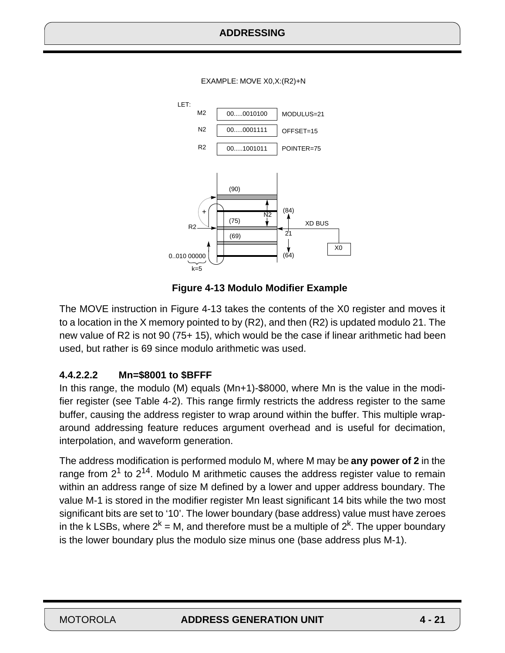EXAMPLE: MOVE X0,X:(R2)+N

<span id="page-20-0"></span>

**Figure 4-13 Modulo Modifier Example**

The MOVE instruction in Figure 4-13 takes the contents of the X0 register and moves it to a location in the X memory pointed to by (R2), and then (R2) is updated modulo 21. The new value of R2 is not 90 (75+ 15), which would be the case if linear arithmetic had been used, but rather is 69 since modulo arithmetic was used.

### **4.4.2.2.2 Mn=\$8001 to \$BFFF**

In this range, the modulo (M) equals (Mn+1)-\$8000, where Mn is the value in the modifier register (see [Table 4-2\)](#page-17-0). This range firmly restricts the address register to the same buffer, causing the address register to wrap around within the buffer. This multiple wraparound addressing feature reduces argument overhead and is useful for decimation, interpolation, and waveform generation.

The address modification is performed modulo M, where M may be **any power of 2** in the range from  $2^1$  to  $2^{14}$ . Modulo M arithmetic causes the address register value to remain within an address range of size M defined by a lower and upper address boundary. The value M-1 is stored in the modifier register Mn least significant 14 bits while the two most significant bits are set to '10'. The lower boundary (base address) value must have zeroes in the k LSBs, where  $2^k = M$ , and therefore must be a multiple of  $2^k$ . The upper boundary is the lower boundary plus the modulo size minus one (base address plus M-1).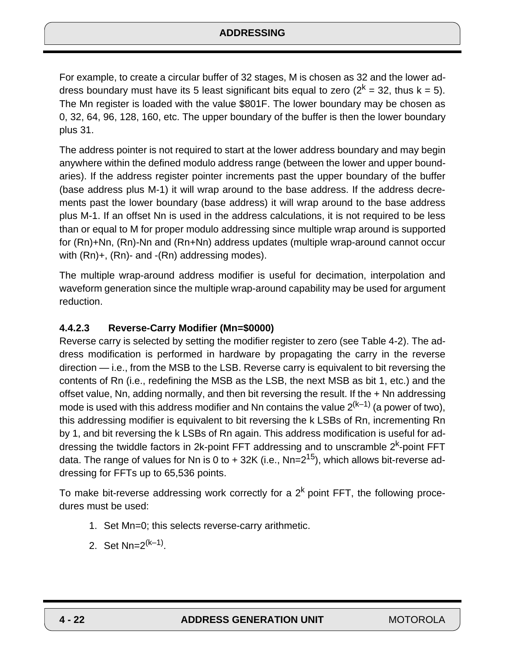For example, to create a circular buffer of 32 stages, M is chosen as 32 and the lower address boundary must have its 5 least significant bits equal to zero ( $2<sup>k</sup> = 32$ , thus  $k = 5$ ). The Mn register is loaded with the value \$801F. The lower boundary may be chosen as 0, 32, 64, 96, 128, 160, etc. The upper boundary of the buffer is then the lower boundary plus 31.

The address pointer is not required to start at the lower address boundary and may begin anywhere within the defined modulo address range (between the lower and upper boundaries). If the address register pointer increments past the upper boundary of the buffer (base address plus M-1) it will wrap around to the base address. If the address decrements past the lower boundary (base address) it will wrap around to the base address plus M-1. If an offset Nn is used in the address calculations, it is not required to be less than or equal to M for proper modulo addressing since multiple wrap around is supported for (Rn)+Nn, (Rn)-Nn and (Rn+Nn) address updates (multiple wrap-around cannot occur with (Rn)+, (Rn)- and -(Rn) addressing modes).

The multiple wrap-around address modifier is useful for decimation, interpolation and waveform generation since the multiple wrap-around capability may be used for argument reduction.

### **4.4.2.3 Reverse-Carry Modifier (Mn=\$0000)**

Reverse carry is selected by setting the modifier register to zero (see [Table 4-2](#page-17-0)). The address modification is performed in hardware by propagating the carry in the reverse direction — i.e., from the MSB to the LSB. Reverse carry is equivalent to bit reversing the contents of Rn (i.e., redefining the MSB as the LSB, the next MSB as bit 1, etc.) and the offset value, Nn, adding normally, and then bit reversing the result. If the + Nn addressing mode is used with this address modifier and Nn contains the value  $2^{(k-1)}$  (a power of two), this addressing modifier is equivalent to bit reversing the k LSBs of Rn, incrementing Rn by 1, and bit reversing the k LSBs of Rn again. This address modification is useful for addressing the twiddle factors in 2k-point FFT addressing and to unscramble  $2<sup>k</sup>$ -point FFT data. The range of values for Nn is 0 to  $+$  32K (i.e., Nn= $2^{15}$ ), which allows bit-reverse addressing for FFTs up to 65,536 points.

To make bit-reverse addressing work correctly for a  $2<sup>k</sup>$  point FFT, the following procedures must be used:

- 1. Set Mn=0; this selects reverse-carry arithmetic.
- 2. Set  $Nn=2^{(k-1)}$ .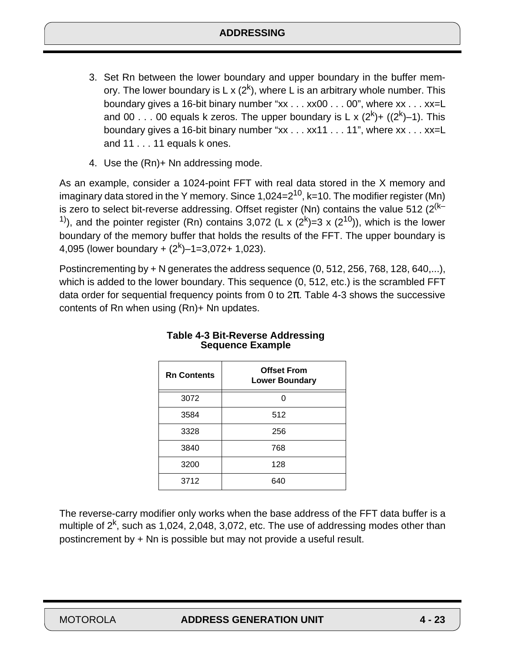- <span id="page-22-0"></span>3. Set Rn between the lower boundary and upper boundary in the buffer memory. The lower boundary is L x  $(2^k)$ , where L is an arbitrary whole number. This boundary gives a 16-bit binary number "xx . . . xx00 . . . 00", where xx . . . xx=L and 00 . . . 00 equals k zeros. The upper boundary is L x  $(2^k)$ +  $((2^k)$ -1). This boundary gives a 16-bit binary number "xx . . . xx11 . . . 11", where xx . . . xx=L and 11 . . . 11 equals k ones.
- 4. Use the (Rn)+ Nn addressing mode.

As an example, consider a 1024-point FFT with real data stored in the X memory and imaginary data stored in the Y memory. Since  $1,024=2^{10}$ , k=10. The modifier register (Mn) is zero to select bit-reverse addressing. Offset register (Nn) contains the value 512  $(2^{(k-1)})$ <sup>1)</sup>), and the pointer register (Rn) contains 3,072 (L x  $(2^k)$ =3 x  $(2^{10})$ ), which is the lower boundary of the memory buffer that holds the results of the FFT. The upper boundary is 4,095 (lower boundary +  $(2^k)$ –1=3,072+ 1,023).

Postincrementing by + N generates the address sequence (0, 512, 256, 768, 128, 640,...), which is added to the lower boundary. This sequence (0, 512, etc.) is the scrambled FFT data order for sequential frequency points from 0 to  $2\pi$ . Table 4-3 shows the successive contents of Rn when using (Rn)+ Nn updates.

| <b>Rn Contents</b> | <b>Offset From</b><br><b>Lower Boundary</b> |
|--------------------|---------------------------------------------|
| 3072               |                                             |
| 3584               | 512                                         |
| 3328               | 256                                         |
| 3840               | 768                                         |
| 3200               | 128                                         |
| 3712               | 640                                         |

#### **Table 4-3 Bit-Reverse Addressing Sequence Example**

The reverse-carry modifier only works when the base address of the FFT data buffer is a multiple of  $2<sup>k</sup>$ , such as 1,024, 2,048, 3,072, etc. The use of addressing modes other than postincrement by + Nn is possible but may not provide a useful result.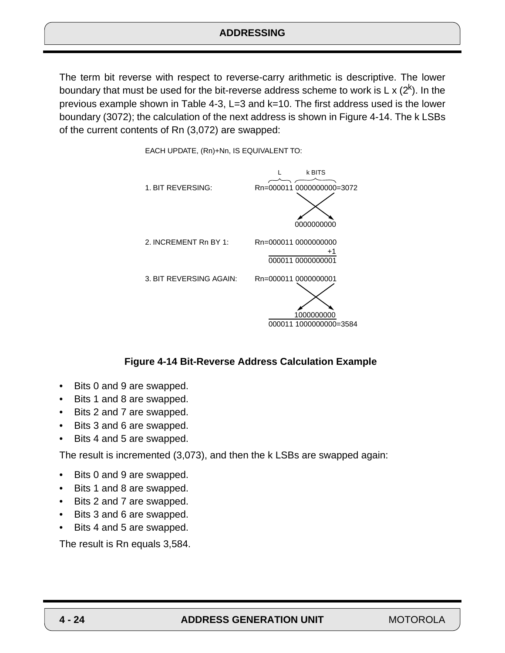The term bit reverse with respect to reverse-carry arithmetic is descriptive. The lower boundary that must be used for the bit-reverse address scheme to work is L x  $(2^k)$ . In the previous example shown in [Table 4-3,](#page-22-0) L=3 and k=10. The first address used is the lower boundary (3072); the calculation of the next address is shown in Figure 4-14. The k LSBs of the current contents of Rn (3,072) are swapped:



EACH UPDATE, (Rn)+Nn, IS EQUIVALENT TO:

#### **Figure 4-14 Bit-Reverse Address Calculation Example**

- Bits 0 and 9 are swapped.
- Bits 1 and 8 are swapped.
- Bits 2 and 7 are swapped.
- Bits 3 and 6 are swapped.
- Bits 4 and 5 are swapped.

The result is incremented (3,073), and then the k LSBs are swapped again:

- Bits 0 and 9 are swapped.
- Bits 1 and 8 are swapped.
- Bits 2 and 7 are swapped.
- Bits 3 and 6 are swapped.
- Bits 4 and 5 are swapped.

The result is Rn equals 3,584.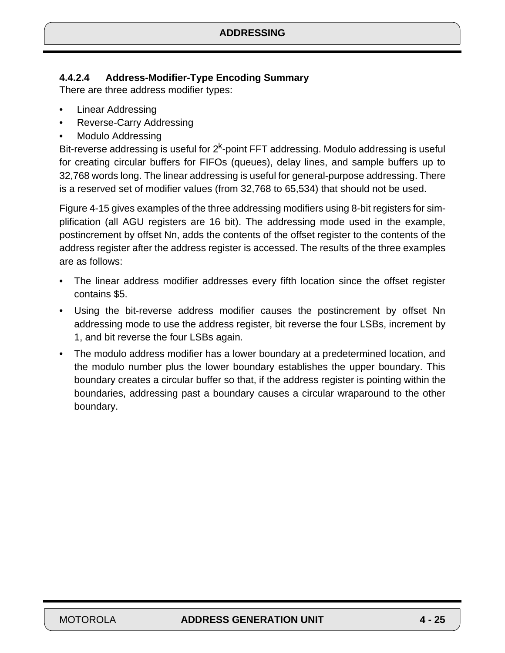# **4.4.2.4 Address-Modifier-Type Encoding Summary**

There are three address modifier types:

- Linear Addressing
- Reverse-Carry Addressing
- Modulo Addressing

Bit-reverse addressing is useful for  $2<sup>k</sup>$ -point FFT addressing. Modulo addressing is useful for creating circular buffers for FIFOs (queues), delay lines, and sample buffers up to 32,768 words long. The linear addressing is useful for general-purpose addressing. There is a reserved set of modifier values (from 32,768 to 65,534) that should not be used.

[Figure 4-15](#page-25-0) gives examples of the three addressing modifiers using 8-bit registers for simplification (all AGU registers are 16 bit). The addressing mode used in the example, postincrement by offset Nn, adds the contents of the offset register to the contents of the address register after the address register is accessed. The results of the three examples are as follows:

- The linear address modifier addresses every fifth location since the offset register contains \$5.
- Using the bit-reverse address modifier causes the postincrement by offset Nn addressing mode to use the address register, bit reverse the four LSBs, increment by 1, and bit reverse the four LSBs again.
- The modulo address modifier has a lower boundary at a predetermined location, and the modulo number plus the lower boundary establishes the upper boundary. This boundary creates a circular buffer so that, if the address register is pointing within the boundaries, addressing past a boundary causes a circular wraparound to the other boundary.